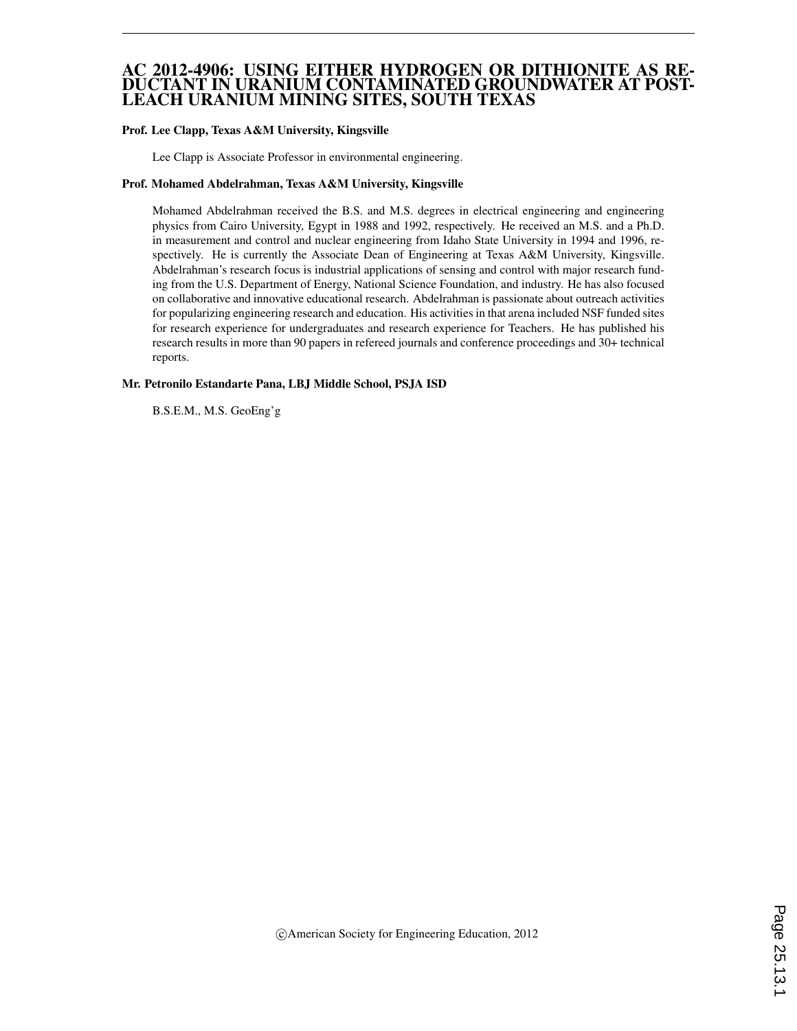#### AC 2012-4906: USING EITHER HYDROGEN OR DITHIONITE AS RE-DUCTANT IN URANIUM CONTAMINATED GROUNDWATER AT POST-LEACH URANIUM MINING SITES, SOUTH TEXAS

#### Prof. Lee Clapp, Texas A&M University, Kingsville

Lee Clapp is Associate Professor in environmental engineering.

#### Prof. Mohamed Abdelrahman, Texas A&M University, Kingsville

Mohamed Abdelrahman received the B.S. and M.S. degrees in electrical engineering and engineering physics from Cairo University, Egypt in 1988 and 1992, respectively. He received an M.S. and a Ph.D. in measurement and control and nuclear engineering from Idaho State University in 1994 and 1996, respectively. He is currently the Associate Dean of Engineering at Texas A&M University, Kingsville. Abdelrahman's research focus is industrial applications of sensing and control with major research funding from the U.S. Department of Energy, National Science Foundation, and industry. He has also focused on collaborative and innovative educational research. Abdelrahman is passionate about outreach activities for popularizing engineering research and education. His activities in that arena included NSF funded sites for research experience for undergraduates and research experience for Teachers. He has published his research results in more than 90 papers in refereed journals and conference proceedings and 30+ technical reports.

#### Mr. Petronilo Estandarte Pana, LBJ Middle School, PSJA ISD

B.S.E.M., M.S. GeoEng'g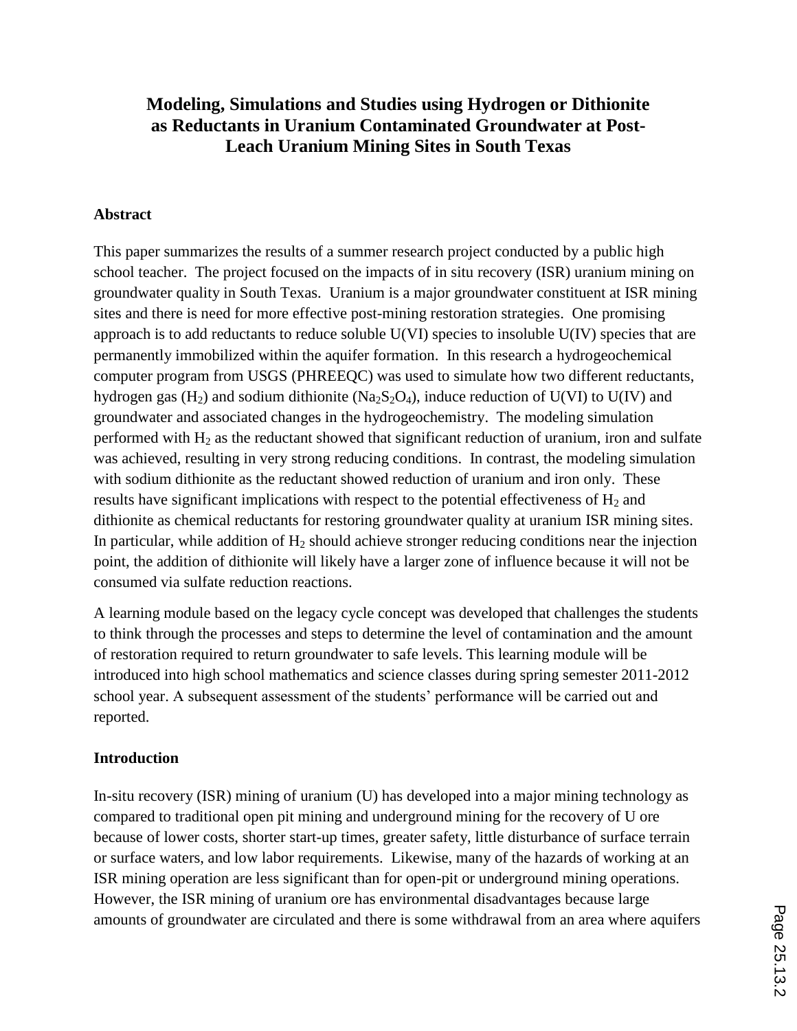## **Modeling, Simulations and Studies using Hydrogen or Dithionite as Reductants in Uranium Contaminated Groundwater at Post-Leach Uranium Mining Sites in South Texas**

### **Abstract**

This paper summarizes the results of a summer research project conducted by a public high school teacher. The project focused on the impacts of in situ recovery (ISR) uranium mining on groundwater quality in South Texas. Uranium is a major groundwater constituent at ISR mining sites and there is need for more effective post-mining restoration strategies. One promising approach is to add reductants to reduce soluble U(VI) species to insoluble U(IV) species that are permanently immobilized within the aquifer formation. In this research a hydrogeochemical computer program from USGS (PHREEQC) was used to simulate how two different reductants, hydrogen gas  $(H_2)$  and sodium dithionite (Na<sub>2</sub>S<sub>2</sub>O<sub>4</sub>), induce reduction of U(VI) to U(IV) and groundwater and associated changes in the hydrogeochemistry. The modeling simulation performed with  $H_2$  as the reductant showed that significant reduction of uranium, iron and sulfate was achieved, resulting in very strong reducing conditions. In contrast, the modeling simulation with sodium dithionite as the reductant showed reduction of uranium and iron only. These results have significant implications with respect to the potential effectiveness of  $H_2$  and dithionite as chemical reductants for restoring groundwater quality at uranium ISR mining sites. In particular, while addition of  $H_2$  should achieve stronger reducing conditions near the injection point, the addition of dithionite will likely have a larger zone of influence because it will not be consumed via sulfate reduction reactions.

A learning module based on the legacy cycle concept was developed that challenges the students to think through the processes and steps to determine the level of contamination and the amount of restoration required to return groundwater to safe levels. This learning module will be introduced into high school mathematics and science classes during spring semester 2011-2012 school year. A subsequent assessment of the students' performance will be carried out and reported.

### **Introduction**

In-situ recovery (ISR) mining of uranium (U) has developed into a major mining technology as compared to traditional open pit mining and underground mining for the recovery of U ore because of lower costs, shorter start-up times, greater safety, little disturbance of surface terrain or surface waters, and low labor requirements. Likewise, many of the hazards of working at an ISR mining operation are less significant than for open-pit or underground mining operations. However, the ISR mining of uranium ore has environmental disadvantages because large amounts of groundwater are circulated and there is some withdrawal from an area where aquifers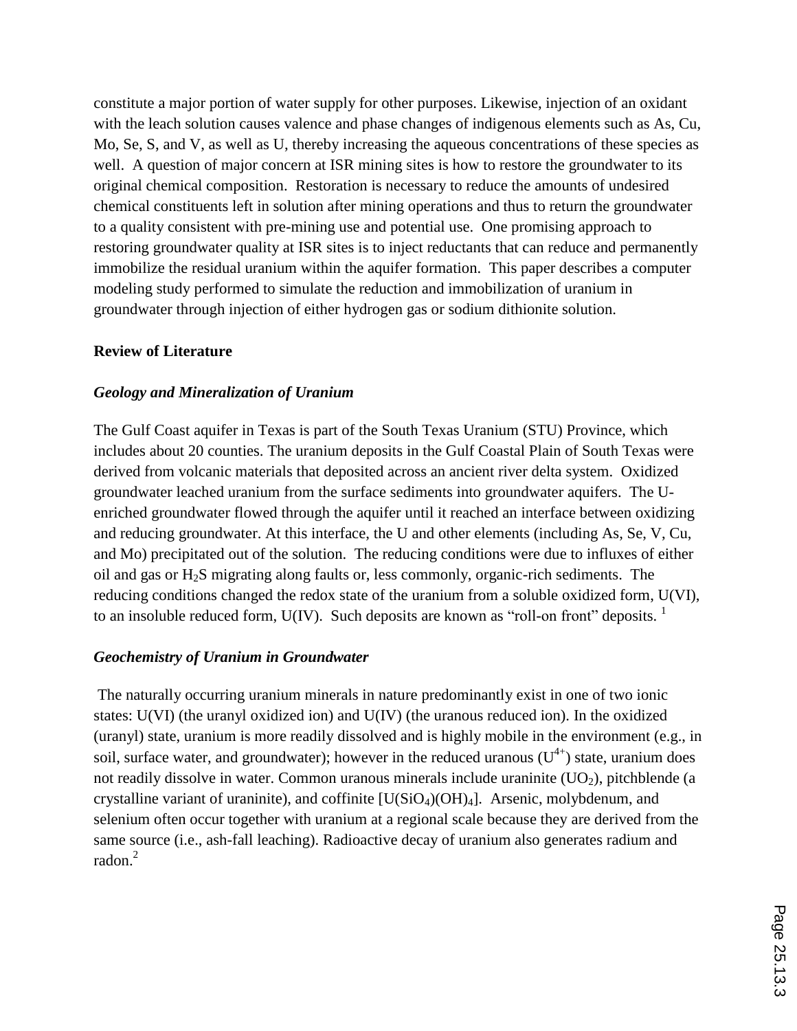constitute a major portion of water supply for other purposes. Likewise, injection of an oxidant with the leach solution causes valence and phase changes of indigenous elements such as As, Cu, Mo, Se, S, and V, as well as U, thereby increasing the aqueous concentrations of these species as well. A question of major concern at ISR mining sites is how to restore the groundwater to its original chemical composition. Restoration is necessary to reduce the amounts of undesired chemical constituents left in solution after mining operations and thus to return the groundwater to a quality consistent with pre-mining use and potential use. One promising approach to restoring groundwater quality at ISR sites is to inject reductants that can reduce and permanently immobilize the residual uranium within the aquifer formation. This paper describes a computer modeling study performed to simulate the reduction and immobilization of uranium in groundwater through injection of either hydrogen gas or sodium dithionite solution.

#### **Review of Literature**

#### *Geology and Mineralization of Uranium*

The Gulf Coast aquifer in Texas is part of the South Texas Uranium (STU) Province, which includes about 20 counties. The uranium deposits in the Gulf Coastal Plain of South Texas were derived from volcanic materials that deposited across an ancient river delta system. Oxidized groundwater leached uranium from the surface sediments into groundwater aquifers. The Uenriched groundwater flowed through the aquifer until it reached an interface between oxidizing and reducing groundwater. At this interface, the U and other elements (including As, Se, V, Cu, and Mo) precipitated out of the solution. The reducing conditions were due to influxes of either oil and gas or H2S migrating along faults or, less commonly, organic-rich sediments. The reducing conditions changed the redox state of the uranium from a soluble oxidized form, U(VI), to an insoluble reduced form,  $U(IV)$ . Such deposits are known as "roll-on front" deposits.  $\frac{1}{1}$ 

#### *Geochemistry of Uranium in Groundwater*

The naturally occurring uranium minerals in nature predominantly exist in one of two ionic states: U(VI) (the uranyl oxidized ion) and U(IV) (the uranous reduced ion). In the oxidized (uranyl) state, uranium is more readily dissolved and is highly mobile in the environment (e.g., in soil, surface water, and groundwater); however in the reduced uranous  $(U^{4+})$  state, uranium does not readily dissolve in water. Common uranous minerals include uraninite  $(UO<sub>2</sub>)$ , pitchblende (a crystalline variant of uraninite), and coffinite  $[U(SiO<sub>4</sub>)(OH)<sub>4</sub>]$ . Arsenic, molybdenum, and selenium often occur together with uranium at a regional scale because they are derived from the same source (i.e., ash-fall leaching). Radioactive decay of uranium also generates radium and radon.<sup>2</sup>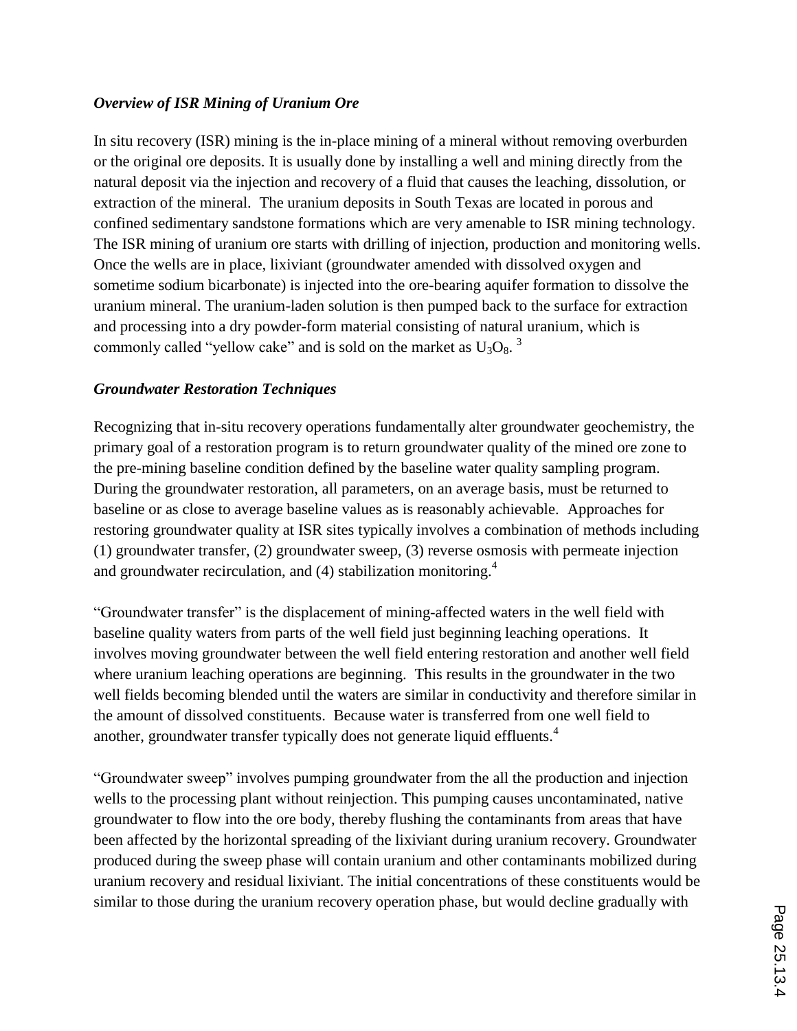### *Overview of ISR Mining of Uranium Ore*

In situ recovery (ISR) mining is the in-place mining of a mineral without removing overburden or the original ore deposits. It is usually done by installing a well and mining directly from the natural deposit via the injection and recovery of a fluid that causes the leaching, dissolution, or extraction of the mineral. The uranium deposits in South Texas are located in porous and confined sedimentary sandstone formations which are very amenable to ISR mining technology. The ISR mining of uranium ore starts with drilling of injection, production and monitoring wells. Once the wells are in place, lixiviant (groundwater amended with dissolved oxygen and sometime sodium bicarbonate) is injected into the ore-bearing aquifer formation to dissolve the uranium mineral. The uranium-laden solution is then pumped back to the surface for extraction and processing into a dry powder-form material consisting of natural uranium, which is commonly called "yellow cake" and is sold on the market as  $U_3O_8$ .<sup>3</sup>

### *Groundwater Restoration Techniques*

Recognizing that in-situ recovery operations fundamentally alter groundwater geochemistry, the primary goal of a restoration program is to return groundwater quality of the mined ore zone to the pre-mining baseline condition defined by the baseline water quality sampling program. During the groundwater restoration, all parameters, on an average basis, must be returned to baseline or as close to average baseline values as is reasonably achievable. Approaches for restoring groundwater quality at ISR sites typically involves a combination of methods including (1) groundwater transfer, (2) groundwater sweep, (3) reverse osmosis with permeate injection and groundwater recirculation, and (4) stabilization monitoring.<sup>4</sup>

"Groundwater transfer" is the displacement of mining-affected waters in the well field with baseline quality waters from parts of the well field just beginning leaching operations. It involves moving groundwater between the well field entering restoration and another well field where uranium leaching operations are beginning. This results in the groundwater in the two well fields becoming blended until the waters are similar in conductivity and therefore similar in the amount of dissolved constituents. Because water is transferred from one well field to another, groundwater transfer typically does not generate liquid effluents.<sup>4</sup>

"Groundwater sweep" involves pumping groundwater from the all the production and injection wells to the processing plant without reinjection. This pumping causes uncontaminated, native groundwater to flow into the ore body, thereby flushing the contaminants from areas that have been affected by the horizontal spreading of the lixiviant during uranium recovery. Groundwater produced during the sweep phase will contain uranium and other contaminants mobilized during uranium recovery and residual lixiviant. The initial concentrations of these constituents would be similar to those during the uranium recovery operation phase, but would decline gradually with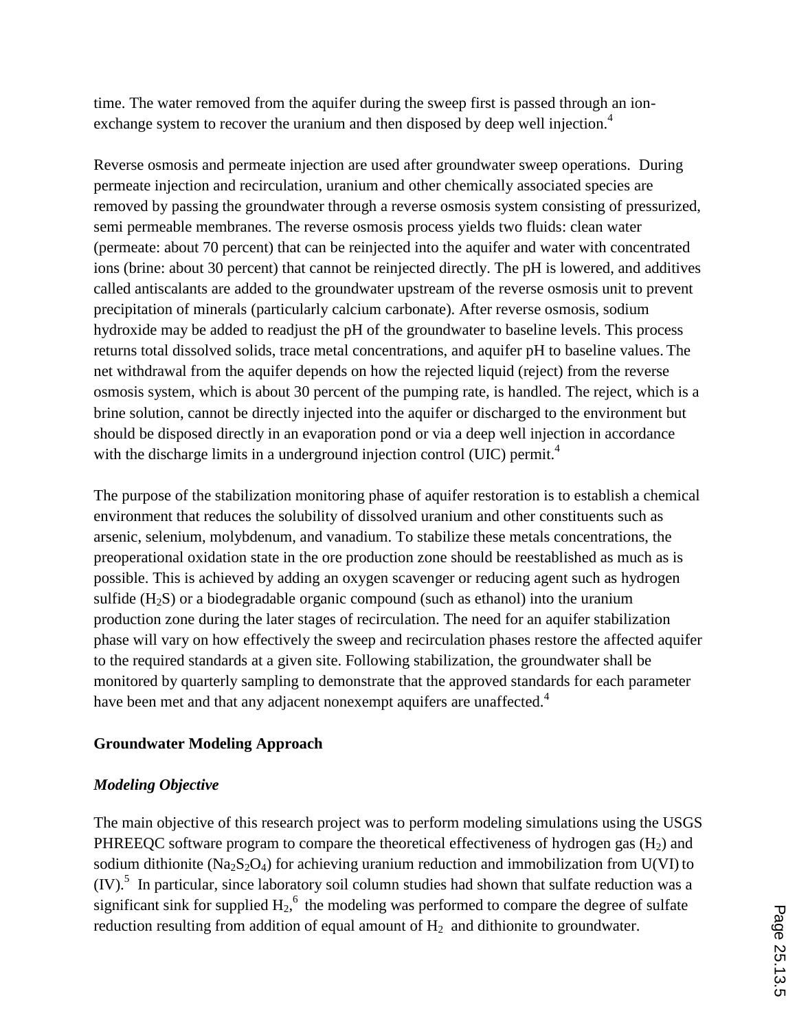time. The water removed from the aquifer during the sweep first is passed through an ionexchange system to recover the uranium and then disposed by deep well injection.<sup>4</sup>

Reverse osmosis and permeate injection are used after groundwater sweep operations. During permeate injection and recirculation, uranium and other chemically associated species are removed by passing the groundwater through a reverse osmosis system consisting of pressurized, semi permeable membranes. The reverse osmosis process yields two fluids: clean water (permeate: about 70 percent) that can be reinjected into the aquifer and water with concentrated ions (brine: about 30 percent) that cannot be reinjected directly. The pH is lowered, and additives called antiscalants are added to the groundwater upstream of the reverse osmosis unit to prevent precipitation of minerals (particularly calcium carbonate). After reverse osmosis, sodium hydroxide may be added to readjust the pH of the groundwater to baseline levels. This process returns total dissolved solids, trace metal concentrations, and aquifer pH to baseline values. The net withdrawal from the aquifer depends on how the rejected liquid (reject) from the reverse osmosis system, which is about 30 percent of the pumping rate, is handled. The reject, which is a brine solution, cannot be directly injected into the aquifer or discharged to the environment but should be disposed directly in an evaporation pond or via a deep well injection in accordance with the discharge limits in a underground injection control (UIC) permit.<sup>4</sup>

The purpose of the stabilization monitoring phase of aquifer restoration is to establish a chemical environment that reduces the solubility of dissolved uranium and other constituents such as arsenic, selenium, molybdenum, and vanadium. To stabilize these metals concentrations, the preoperational oxidation state in the ore production zone should be reestablished as much as is possible. This is achieved by adding an oxygen scavenger or reducing agent such as hydrogen sulfide  $(H_2S)$  or a biodegradable organic compound (such as ethanol) into the uranium production zone during the later stages of recirculation. The need for an aquifer stabilization phase will vary on how effectively the sweep and recirculation phases restore the affected aquifer to the required standards at a given site. Following stabilization, the groundwater shall be monitored by quarterly sampling to demonstrate that the approved standards for each parameter have been met and that any adjacent nonexempt aquifers are unaffected.<sup>4</sup>

### **Groundwater Modeling Approach**

### *Modeling Objective*

The main objective of this research project was to perform modeling simulations using the USGS PHREEQC software program to compare the theoretical effectiveness of hydrogen gas  $(H<sub>2</sub>)$  and sodium dithionite (Na<sub>2</sub>S<sub>2</sub>O<sub>4</sub>) for achieving uranium reduction and immobilization from U(VI) to (IV).<sup>5</sup> In particular, since laboratory soil column studies had shown that sulfate reduction was a significant sink for supplied  $H_2$ ,  $\epsilon$  the modeling was performed to compare the degree of sulfate reduction resulting from addition of equal amount of  $H_2$  and dithionite to groundwater.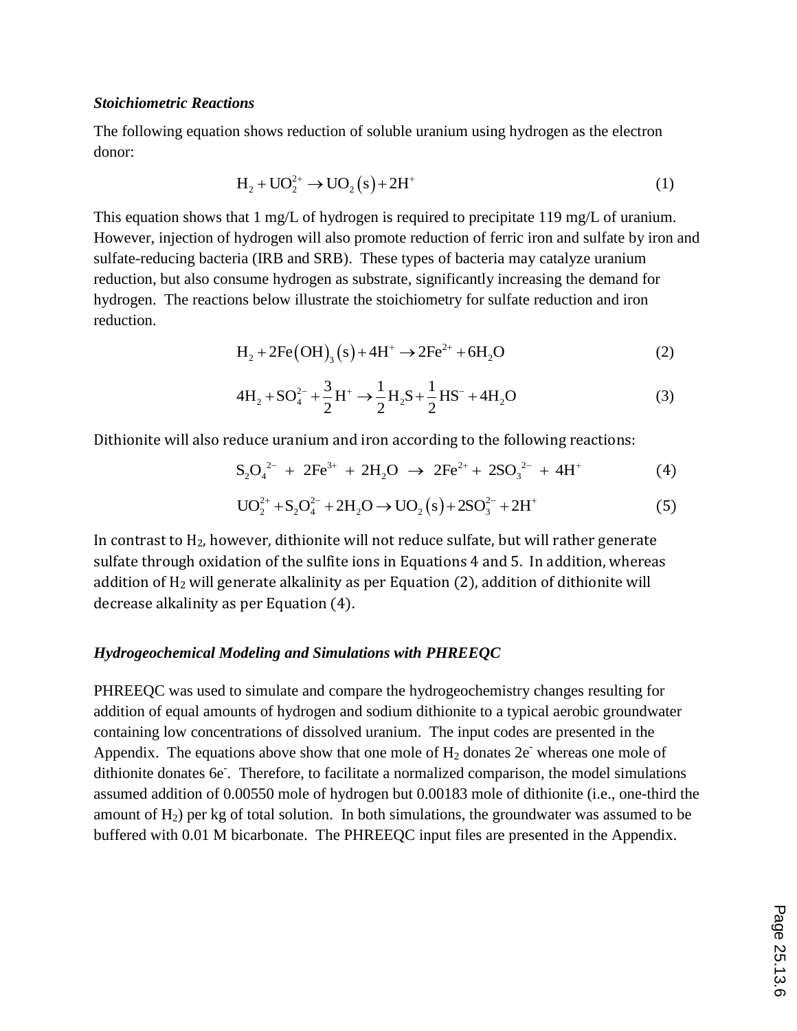#### *Stoichiometric Reactions*

The following equation shows reduction of soluble uranium using hydrogen as the electron donor:

$$
H_2 + UO_2^{2+} \to UO_2(s) + 2H^+ \tag{1}
$$

This equation shows that 1 mg/L of hydrogen is required to precipitate 119 mg/L of uranium. However, injection of hydrogen will also promote reduction of ferric iron and sulfate by iron and sulfate-reducing bacteria (IRB and SRB). These types of bacteria may catalyze uranium reduction, but also consume hydrogen as substrate, significantly increasing the demand for hydrogen. The reactions below illustrate the stoichiometry for sulfate reduction and iron reduction.

$$
H_2 + 2Fe(OH)_3(s) + 4H^+ \rightarrow 2Fe^{2+} + 6H_2O
$$
 (2)

$$
H_2 + 2r\epsilon \left( \text{OH} \right)_3 \left( s \right) + 4H \rightarrow 2r\epsilon + 6H_2\epsilon \tag{2}
$$
\n
$$
4H_2 + SO_4^{2-} + \frac{3}{2}H^+ \rightarrow \frac{1}{2}H_2S + \frac{1}{2}HS^- + 4H_2\epsilon \tag{3}
$$

Dithionite will also reduce uranium and iron according to the following reactions:<br> $S_2O_4^{2-} + 2Fe^{3+} + 2H_2O \rightarrow 2Fe^{2+} + 2SO_3^{2-} + 4H^+$ 

$$
S_2O_4^{2-} + 2Fe^{3+} + 2H_2O \rightarrow 2Fe^{2+} + 2SO_3^{2-} + 4H^+ \tag{4}
$$

$$
S_2O_4^2 + 2Fe^{3} + 2H_2O \rightarrow 2Fe^{2} + 2SO_3^2 + 4H'
$$
\n
$$
UO_2^{2+} + S_2O_4^{2-} + 2H_2O \rightarrow UO_2(s) + 2SO_3^{2-} + 2H^*
$$
\n(5)

In contrast to H2, however, dithionite will not reduce sulfate, but will rather generate sulfate through oxidation of the sulfite ions in Equations 4 and 5. In addition, whereas addition of  $H_2$  will generate alkalinity as per Equation (2), addition of dithionite will decrease alkalinity as per Equation (4).

#### *Hydrogeochemical Modeling and Simulations with PHREEQC*

PHREEQC was used to simulate and compare the hydrogeochemistry changes resulting for addition of equal amounts of hydrogen and sodium dithionite to a typical aerobic groundwater containing low concentrations of dissolved uranium. The input codes are presented in the Appendix. The equations above show that one mole of  $H_2$  donates  $2e^-$  whereas one mole of dithionite donates 6e. Therefore, to facilitate a normalized comparison, the model simulations assumed addition of 0.00550 mole of hydrogen but 0.00183 mole of dithionite (i.e., one-third the amount of  $H_2$ ) per kg of total solution. In both simulations, the groundwater was assumed to be buffered with 0.01 M bicarbonate. The PHREEQC input files are presented in the Appendix.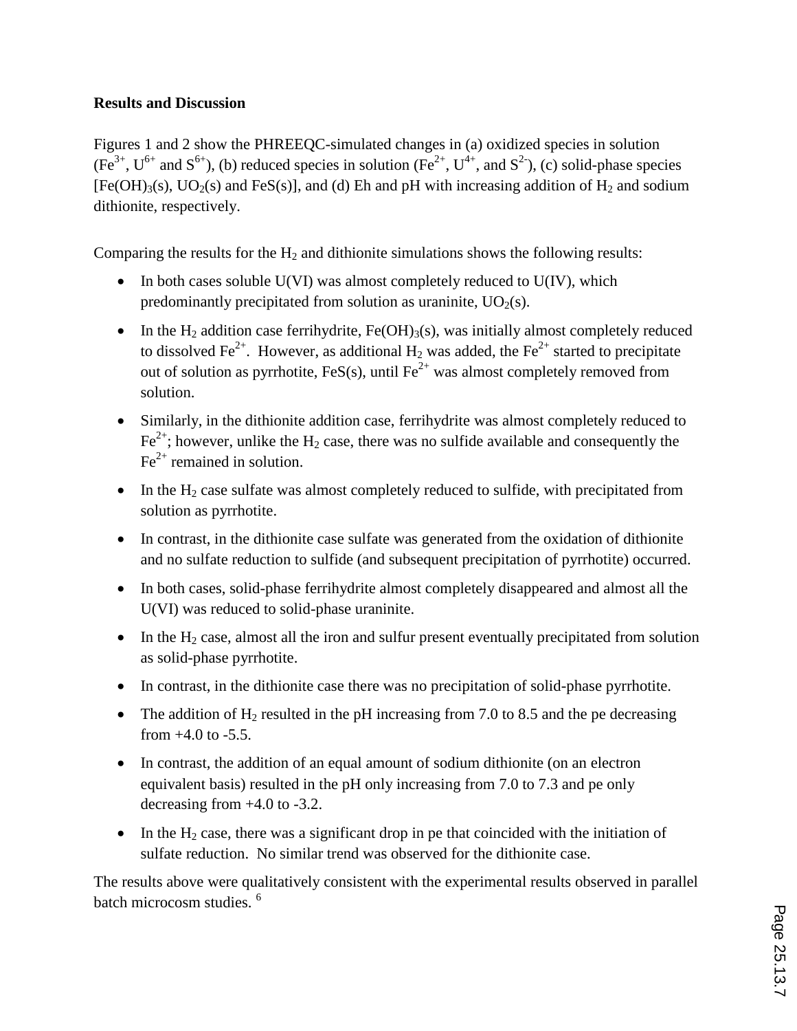### **Results and Discussion**

Figures 1 and 2 show the PHREEQC-simulated changes in (a) oxidized species in solution  $(Fe^{3+}, U^{6+}$  and  $S^{6+}$ ), (b) reduced species in solution (Fe<sup>2+</sup>, U<sup>4+</sup>, and S<sup>2-</sup>), (c) solid-phase species  $[Fe(OH)<sub>3</sub>(s), UO<sub>2</sub>(s)$  and FeS(s)], and (d) Eh and pH with increasing addition of H<sub>2</sub> and sodium dithionite, respectively.

Comparing the results for the  $H_2$  and dithionite simulations shows the following results:

- $\bullet$  In both cases soluble U(VI) was almost completely reduced to U(IV), which predominantly precipitated from solution as uraninite,  $UO<sub>2</sub>(s)$ .
- In the  $H_2$  addition case ferrihydrite, Fe(OH)<sub>3</sub>(s), was initially almost completely reduced to dissolved Fe<sup>2+</sup>. However, as additional H<sub>2</sub> was added, the Fe<sup>2+</sup> started to precipitate out of solution as pyrrhotite, FeS(s), until  $Fe^{2+}$  was almost completely removed from solution.
- Similarly, in the dithionite addition case, ferrihydrite was almost completely reduced to  $Fe<sup>2+</sup>$ ; however, unlike the H<sub>2</sub> case, there was no sulfide available and consequently the  $Fe<sup>2+</sup>$  remained in solution.
- $\bullet$  In the H<sub>2</sub> case sulfate was almost completely reduced to sulfide, with precipitated from solution as pyrrhotite.
- In contrast, in the dithionite case sulfate was generated from the oxidation of dithionite and no sulfate reduction to sulfide (and subsequent precipitation of pyrrhotite) occurred.
- In both cases, solid-phase ferrihydrite almost completely disappeared and almost all the U(VI) was reduced to solid-phase uraninite.
- $\bullet$  In the H<sub>2</sub> case, almost all the iron and sulfur present eventually precipitated from solution as solid-phase pyrrhotite.
- In contrast, in the dithionite case there was no precipitation of solid-phase pyrrhotite.
- The addition of  $H_2$  resulted in the pH increasing from 7.0 to 8.5 and the pe decreasing from  $+4.0$  to  $-5.5$ .
- In contrast, the addition of an equal amount of sodium dithionite (on an electron equivalent basis) resulted in the pH only increasing from 7.0 to 7.3 and pe only decreasing from +4.0 to -3.2.
- In the  $H_2$  case, there was a significant drop in pe that coincided with the initiation of sulfate reduction. No similar trend was observed for the dithionite case.

The results above were qualitatively consistent with the experimental results observed in parallel batch microcosm studies. <sup>6</sup>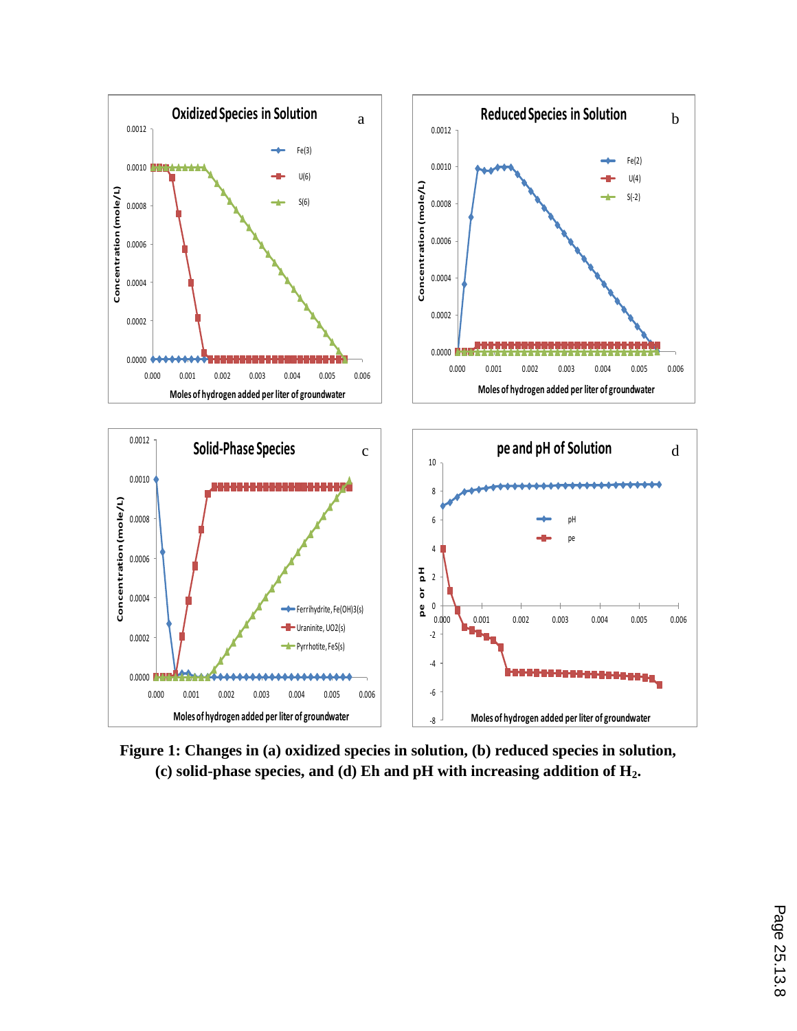

**Figure 1: Changes in (a) oxidized species in solution, (b) reduced species in solution, (c) solid-phase species, and (d) Eh and pH with increasing addition of H2.**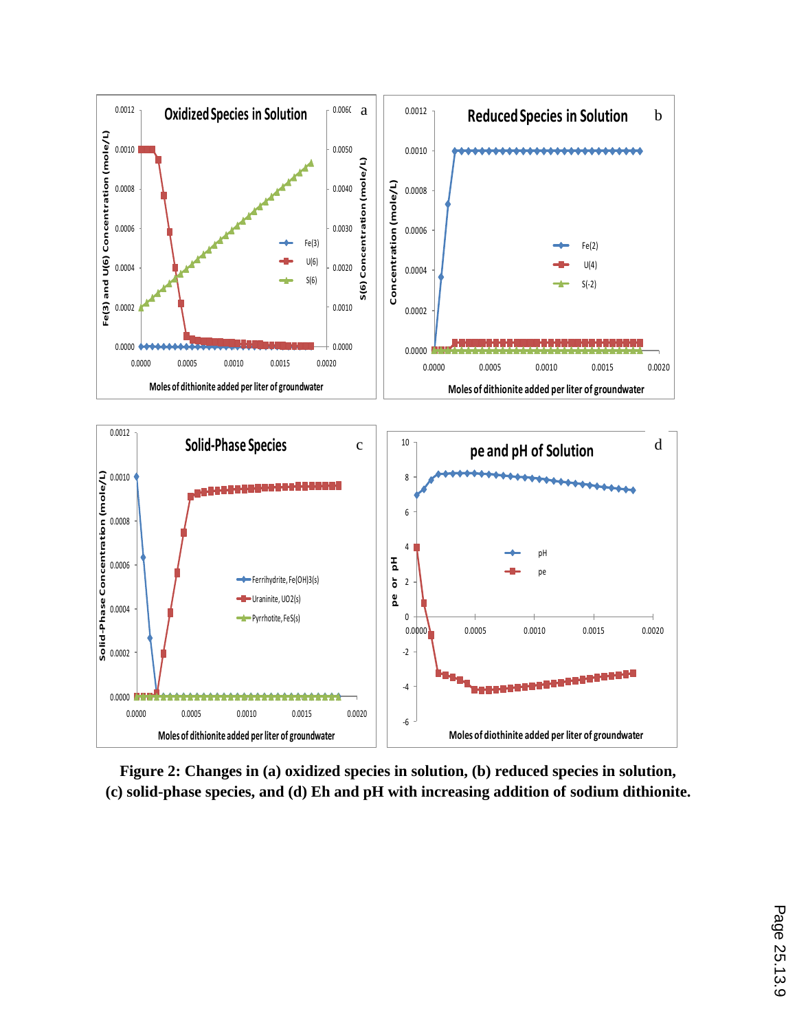

**Figure 2: Changes in (a) oxidized species in solution, (b) reduced species in solution, (c) solid-phase species, and (d) Eh and pH with increasing addition of sodium dithionite.**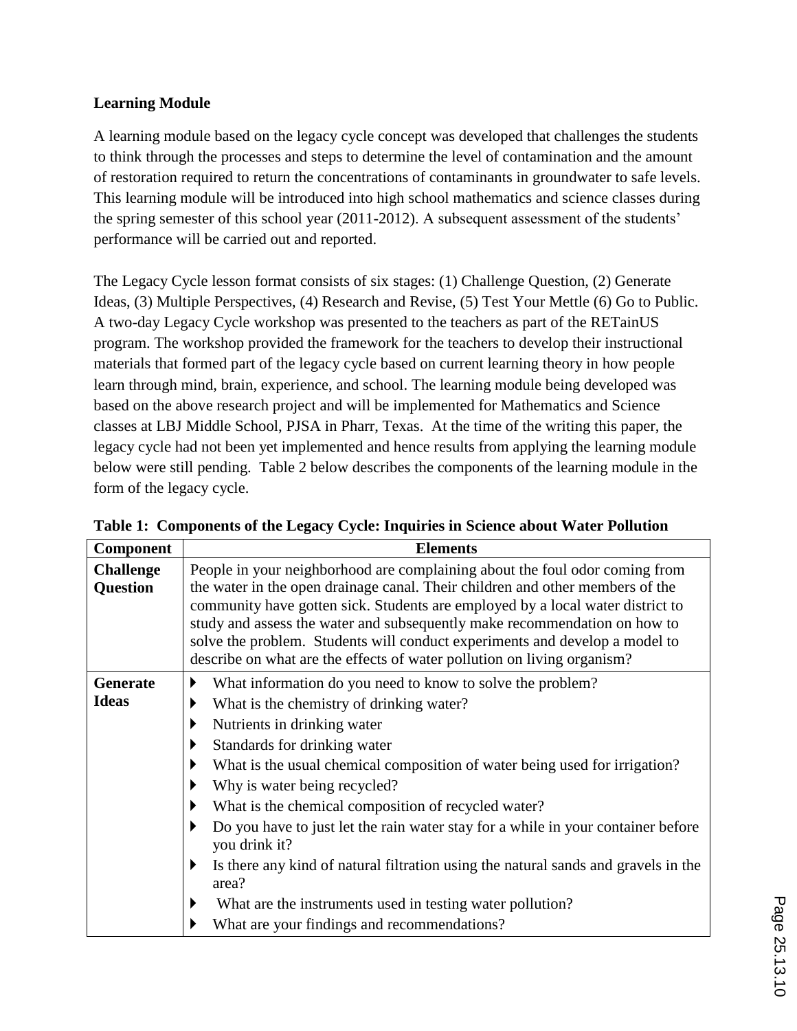### **Learning Module**

A learning module based on the legacy cycle concept was developed that challenges the students to think through the processes and steps to determine the level of contamination and the amount of restoration required to return the concentrations of contaminants in groundwater to safe levels. This learning module will be introduced into high school mathematics and science classes during the spring semester of this school year (2011-2012). A subsequent assessment of the students' performance will be carried out and reported.

The Legacy Cycle lesson format consists of six stages: (1) Challenge Question, (2) Generate Ideas, (3) Multiple Perspectives, (4) Research and Revise, (5) Test Your Mettle (6) Go to Public. A two-day Legacy Cycle workshop was presented to the teachers as part of the RETainUS program. The workshop provided the framework for the teachers to develop their instructional materials that formed part of the legacy cycle based on current learning theory in how people learn through mind, brain, experience, and school. The learning module being developed was based on the above research project and will be implemented for Mathematics and Science classes at LBJ Middle School, PJSA in Pharr, Texas. At the time of the writing this paper, the legacy cycle had not been yet implemented and hence results from applying the learning module below were still pending. Table 2 below describes the components of the learning module in the form of the legacy cycle.

| <b>Component</b> | <b>Elements</b>                                                                                   |  |  |
|------------------|---------------------------------------------------------------------------------------------------|--|--|
| <b>Challenge</b> | People in your neighborhood are complaining about the foul odor coming from                       |  |  |
| <b>Question</b>  | the water in the open drainage canal. Their children and other members of the                     |  |  |
|                  | community have gotten sick. Students are employed by a local water district to                    |  |  |
|                  | study and assess the water and subsequently make recommendation on how to                         |  |  |
|                  | solve the problem. Students will conduct experiments and develop a model to                       |  |  |
|                  | describe on what are the effects of water pollution on living organism?                           |  |  |
| <b>Generate</b>  | What information do you need to know to solve the problem?                                        |  |  |
| <b>Ideas</b>     | What is the chemistry of drinking water?                                                          |  |  |
|                  | Nutrients in drinking water                                                                       |  |  |
|                  | Standards for drinking water                                                                      |  |  |
|                  | What is the usual chemical composition of water being used for irrigation?                        |  |  |
|                  | Why is water being recycled?                                                                      |  |  |
|                  | What is the chemical composition of recycled water?                                               |  |  |
|                  | Do you have to just let the rain water stay for a while in your container before<br>you drink it? |  |  |
|                  | Is there any kind of natural filtration using the natural sands and gravels in the<br>area?       |  |  |
|                  | What are the instruments used in testing water pollution?                                         |  |  |
|                  | What are your findings and recommendations?                                                       |  |  |

**Table 1: Components of the Legacy Cycle: Inquiries in Science about Water Pollution**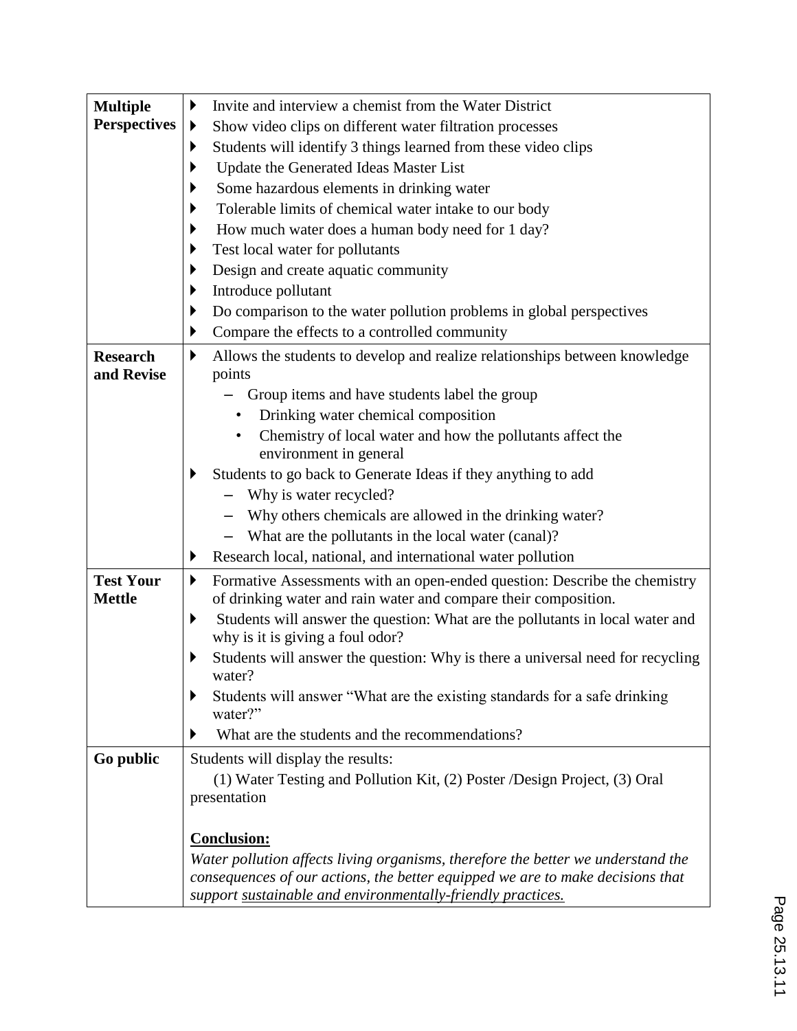| <b>Multiple</b>     | Invite and interview a chemist from the Water District<br>▶                                                            |  |  |
|---------------------|------------------------------------------------------------------------------------------------------------------------|--|--|
| <b>Perspectives</b> | Show video clips on different water filtration processes                                                               |  |  |
|                     | Students will identify 3 things learned from these video clips                                                         |  |  |
|                     | Update the Generated Ideas Master List                                                                                 |  |  |
|                     | Some hazardous elements in drinking water                                                                              |  |  |
|                     | Tolerable limits of chemical water intake to our body                                                                  |  |  |
|                     | How much water does a human body need for 1 day?                                                                       |  |  |
|                     | Test local water for pollutants                                                                                        |  |  |
|                     | Design and create aquatic community                                                                                    |  |  |
|                     | Introduce pollutant                                                                                                    |  |  |
|                     | Do comparison to the water pollution problems in global perspectives<br>▶                                              |  |  |
|                     | Compare the effects to a controlled community<br>▶                                                                     |  |  |
| <b>Research</b>     | Allows the students to develop and realize relationships between knowledge<br>▶                                        |  |  |
| and Revise          | points                                                                                                                 |  |  |
|                     | Group items and have students label the group                                                                          |  |  |
|                     | Drinking water chemical composition                                                                                    |  |  |
|                     | Chemistry of local water and how the pollutants affect the                                                             |  |  |
|                     | environment in general                                                                                                 |  |  |
|                     | Students to go back to Generate Ideas if they anything to add<br>▶                                                     |  |  |
|                     | Why is water recycled?<br>Why others chemicals are allowed in the drinking water?                                      |  |  |
|                     |                                                                                                                        |  |  |
|                     | What are the pollutants in the local water (canal)?                                                                    |  |  |
|                     | Research local, national, and international water pollution<br>▶                                                       |  |  |
| <b>Test Your</b>    | Formative Assessments with an open-ended question: Describe the chemistry<br>▶                                         |  |  |
| <b>Mettle</b>       | of drinking water and rain water and compare their composition.                                                        |  |  |
|                     | Students will answer the question: What are the pollutants in local water and<br>▶<br>why is it is giving a foul odor? |  |  |
|                     | Students will answer the question: Why is there a universal need for recycling                                         |  |  |
|                     | water?                                                                                                                 |  |  |
|                     | Students will answer "What are the existing standards for a safe drinking<br>▶                                         |  |  |
|                     | water?"                                                                                                                |  |  |
|                     | What are the students and the recommendations?<br>▶                                                                    |  |  |
| Go public           | Students will display the results:                                                                                     |  |  |
|                     | (1) Water Testing and Pollution Kit, (2) Poster /Design Project, (3) Oral                                              |  |  |
|                     | presentation                                                                                                           |  |  |
|                     | <b>Conclusion:</b>                                                                                                     |  |  |
|                     | Water pollution affects living organisms, therefore the better we understand the                                       |  |  |
|                     | consequences of our actions, the better equipped we are to make decisions that                                         |  |  |
|                     | support sustainable and environmentally-friendly practices.                                                            |  |  |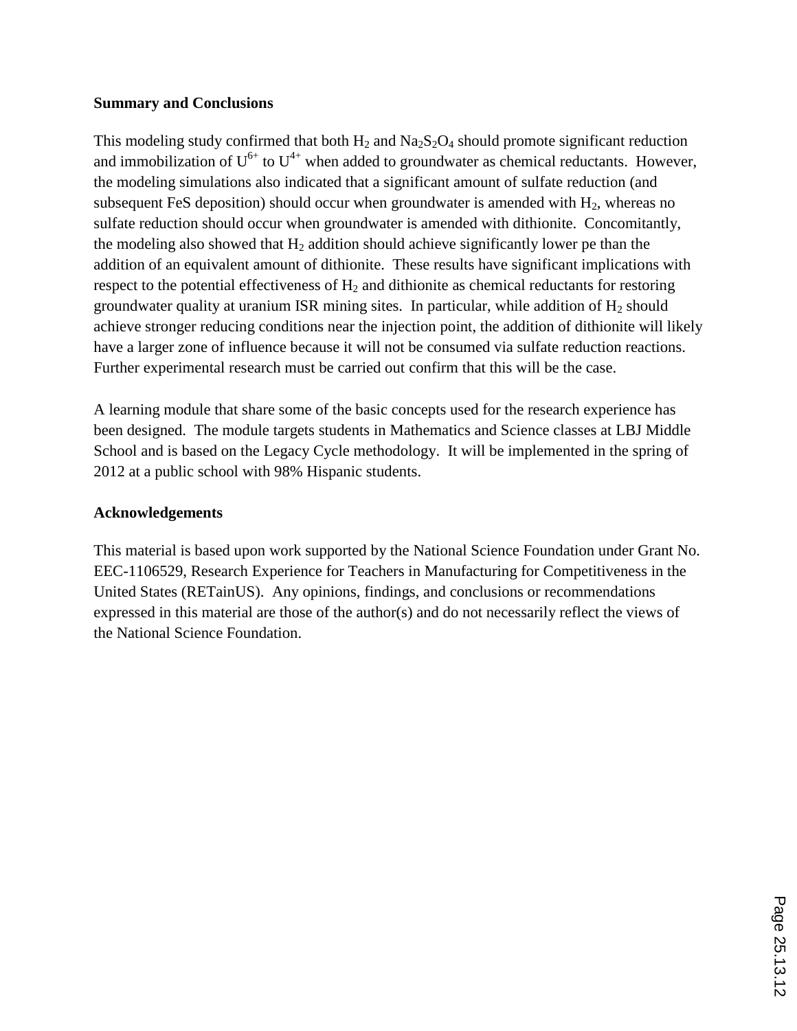### **Summary and Conclusions**

This modeling study confirmed that both  $H_2$  and  $Na_2S_2O_4$  should promote significant reduction and immobilization of  $U^{6+}$  to  $U^{4+}$  when added to groundwater as chemical reductants. However, the modeling simulations also indicated that a significant amount of sulfate reduction (and subsequent FeS deposition) should occur when groundwater is amended with  $H_2$ , whereas no sulfate reduction should occur when groundwater is amended with dithionite. Concomitantly, the modeling also showed that  $H_2$  addition should achieve significantly lower pe than the addition of an equivalent amount of dithionite. These results have significant implications with respect to the potential effectiveness of  $H_2$  and dithionite as chemical reductants for restoring groundwater quality at uranium ISR mining sites. In particular, while addition of  $H_2$  should achieve stronger reducing conditions near the injection point, the addition of dithionite will likely have a larger zone of influence because it will not be consumed via sulfate reduction reactions. Further experimental research must be carried out confirm that this will be the case.

A learning module that share some of the basic concepts used for the research experience has been designed. The module targets students in Mathematics and Science classes at LBJ Middle School and is based on the Legacy Cycle methodology. It will be implemented in the spring of 2012 at a public school with 98% Hispanic students.

### **Acknowledgements**

This material is based upon work supported by the National Science Foundation under Grant No. EEC-1106529, Research Experience for Teachers in Manufacturing for Competitiveness in the United States (RETainUS). Any opinions, findings, and conclusions or recommendations expressed in this material are those of the author(s) and do not necessarily reflect the views of the National Science Foundation.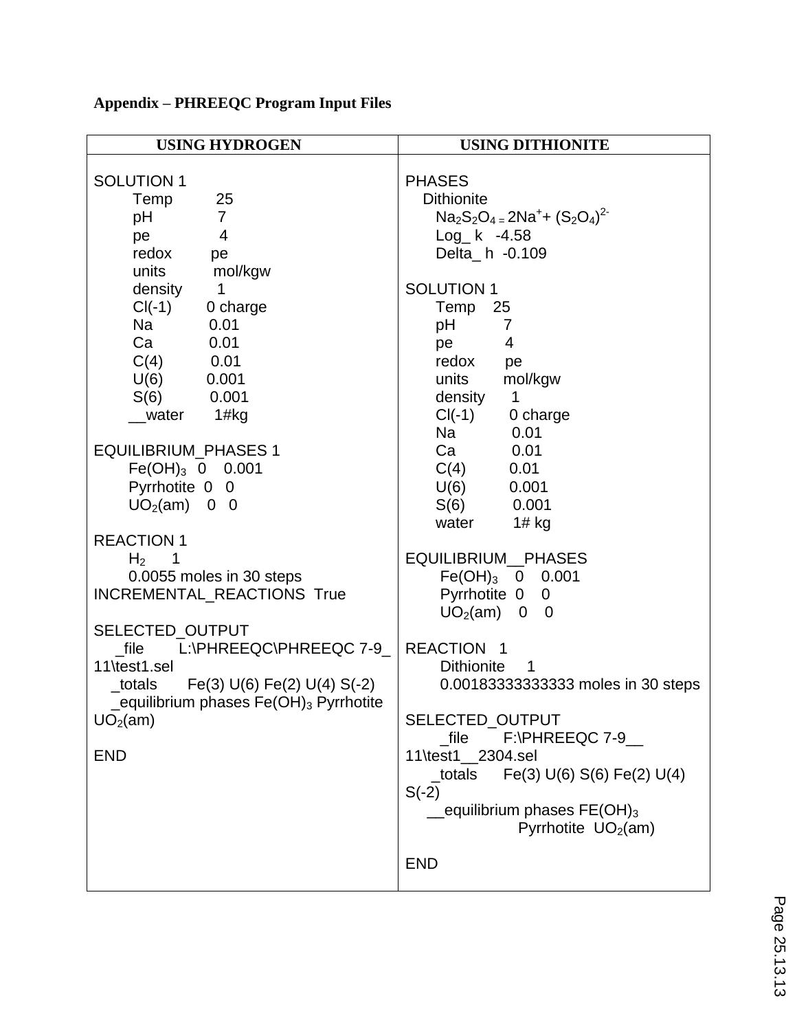| <b>USING HYDROGEN</b>                                                                                                                                                                                                                                                                                                                                                                                                                                                                                                                                                                                                                                          | <b>USING DITHIONITE</b>                                                                                                                                                                                                                                                                                                                                                                                                                                                                                                                                                                                                                                                                                                                                                |
|----------------------------------------------------------------------------------------------------------------------------------------------------------------------------------------------------------------------------------------------------------------------------------------------------------------------------------------------------------------------------------------------------------------------------------------------------------------------------------------------------------------------------------------------------------------------------------------------------------------------------------------------------------------|------------------------------------------------------------------------------------------------------------------------------------------------------------------------------------------------------------------------------------------------------------------------------------------------------------------------------------------------------------------------------------------------------------------------------------------------------------------------------------------------------------------------------------------------------------------------------------------------------------------------------------------------------------------------------------------------------------------------------------------------------------------------|
| <b>SOLUTION 1</b><br>25<br>Temp<br>$\overline{7}$<br>pH<br>$\overline{4}$<br>pe<br>redox<br>pe<br>units<br>mol/kgw<br>density<br>$\mathbf 1$<br>$CI(-1)$<br>0 charge<br>Na<br>0.01<br>Ca<br>0.01<br>$C(4)$ 0.01<br>$U(6)$ 0.001<br>S(6)<br>0.001<br>1#kg<br>water<br><b>EQUILIBRIUM_PHASES 1</b><br>$Fe(OH)_{3}$ 0 0.001<br>Pyrrhotite 0 0<br>$UO2(am)$ 0 0<br><b>REACTION 1</b><br>$H2$ 1<br>0.0055 moles in 30 steps<br>INCREMENTAL_REACTIONS True<br>SELECTED_OUTPUT<br>file<br>L:\PHREEQC\PHREEQC 7-9<br>11\test1.sel<br>$_{\text{totals}}$ Fe(3) U(6) Fe(2) U(4) S(-2)<br>_equilibrium phases $Fe(OH)_3$ Pyrrhotite<br>UO <sub>2</sub> (am)<br><b>END</b> | <b>PHASES</b><br><b>Dithionite</b><br>$Na_2S_2O_4 = 2Na^+ + (S_2O_4)^2$<br>$Log_k$ -4.58<br>Delta_h -0.109<br><b>SOLUTION 1</b><br>Temp<br>25<br>рH<br>$\overline{7}$<br>$\overline{4}$<br>pe<br>redox<br>pe<br>units<br>mol/kgw<br>density<br>$\mathbf 1$<br>$Cl(-1)$ 0 charge<br>Na<br>0.01<br>Ca<br>0.01<br>$C(4)$ 0.01<br>$U(6)$ 0.001<br>$S(6)$ 0.001<br>$1#$ kg<br>water<br>EQUILIBRIUM_PHASES<br>$Fe(OH)_3$ 0 0.001<br>Pyrrhotite 0 0<br>UO <sub>2</sub> (am)<br>$0\quad 0$<br><b>REACTION</b><br><b>Dithionite</b><br>1<br>0.001833333333333 moles in 30 steps<br>SELECTED_OUTPUT<br>file<br>$F:\P$ HREEQC 7-9<br>11\test1 2304.sel<br>Fe(3) U(6) S(6) Fe(2) U(4)<br>_totals<br>$S(-2)$<br>equilibrium phases $FE(OH)_3$<br>Pyrrhotite $UO2(am)$<br><b>END</b> |

# **Appendix – PHREEQC Program Input Files**